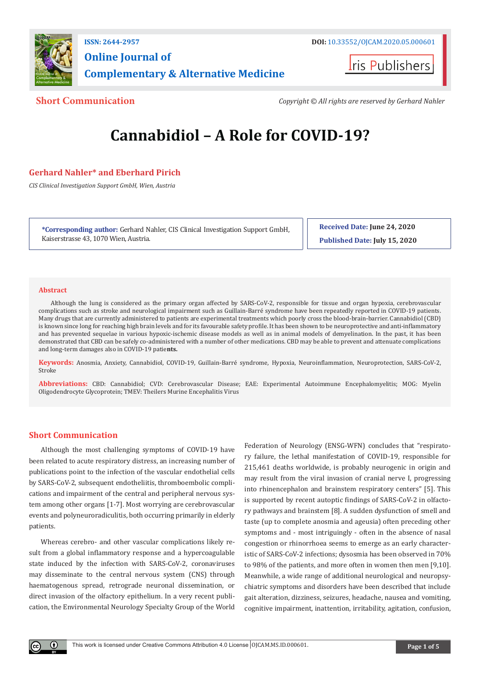

**Online Journal of Complementary & Alternative Medicine**

**Iris Publishers** 

**Short Communication** *Copyright © All rights are reserved by Gerhard Nahler*

# **Cannabidiol – A Role for COVID-19?**

# **Gerhard Nahler\* and Eberhard Pirich**

*CIS Clinical Investigation Support GmbH, Wien, Austria*

**\*Corresponding author:** Gerhard Nahler, CIS Clinical Investigation Support GmbH, Kaiserstrasse 43, 1070 Wien, Austria.

**Received Date: June 24, 2020 Published Date: July 15, 2020**

## **Abstract**

Although the lung is considered as the primary organ affected by SARS-CoV-2, responsible for tissue and organ hypoxia, cerebrovascular complications such as stroke and neurological impairment such as Guillain-Barré syndrome have been repeatedly reported in COVID-19 patients. Many drugs that are currently administered to patients are experimental treatments which poorly cross the blood-brain-barrier. Cannabidiol (CBD) is known since long for reaching high brain levels and for its favourable safety profile. It has been shown to be neuroprotective and anti-inflammatory and has prevented sequelae in various hypoxic-ischemic disease models as well as in animal models of demyelination. In the past, it has been demonstrated that CBD can be safely co-administered with a number of other medications. CBD may be able to prevent and attenuate complications and long-term damages also in COVID-19 patie**nts.**

**Keywords:** Anosmia, Anxiety, Cannabidiol, COVID-19, Guillain-Barré syndrome, Hypoxia, Neuroinflammation, Neuroprotection, SARS-CoV-2, Stroke

**Abbreviations:** CBD: Cannabidiol; CVD: Cerebrovascular Disease; EAE: Experimental Autoimmune Encephalomyelitis; MOG: Myelin Oligodendrocyte Glycoprotein; TMEV: Theilers Murine Encephalitis Virus

# **Short Communication**

Although the most challenging symptoms of COVID-19 have been related to acute respiratory distress, an increasing number of publications point to the infection of the vascular endothelial cells by SARS-CoV-2, subsequent endotheliitis, thromboembolic complications and impairment of the central and peripheral nervous system among other organs [1-7]. Most worrying are cerebrovascular events and polyneuroradiculitis, both occurring primarily in elderly patients.

Whereas cerebro- and other vascular complications likely result from a global inflammatory response and a hypercoagulable state induced by the infection with SARS-CoV-2, coronaviruses may disseminate to the central nervous system (CNS) through haematogenous spread, retrograde neuronal dissemination, or direct invasion of the olfactory epithelium. In a very recent publication, the Environmental Neurology Specialty Group of the World

Federation of Neurology (ENSG-WFN) concludes that "respiratory failure, the lethal manifestation of COVID-19, responsible for 215,461 deaths worldwide, is probably neurogenic in origin and may result from the viral invasion of cranial nerve I, progressing into rhinencephalon and brainstem respiratory centers" [5]. This is supported by recent autoptic findings of SARS-CoV-2 in olfactory pathways and brainstem [8]. A sudden dysfunction of smell and taste (up to complete anosmia and ageusia) often preceding other symptoms and - most intriguingly - often in the absence of nasal congestion or rhinorrhoea seems to emerge as an early characteristic of SARS-CoV-2 infections; dysosmia has been observed in 70% to 98% of the patients, and more often in women then men [9,10]. Meanwhile, a wide range of additional neurological and neuropsychiatric symptoms and disorders have been described that include gait alteration, dizziness, seizures, headache, nausea and vomiting, cognitive impairment, inattention, irritability, agitation, confusion,

 $\bf{0}$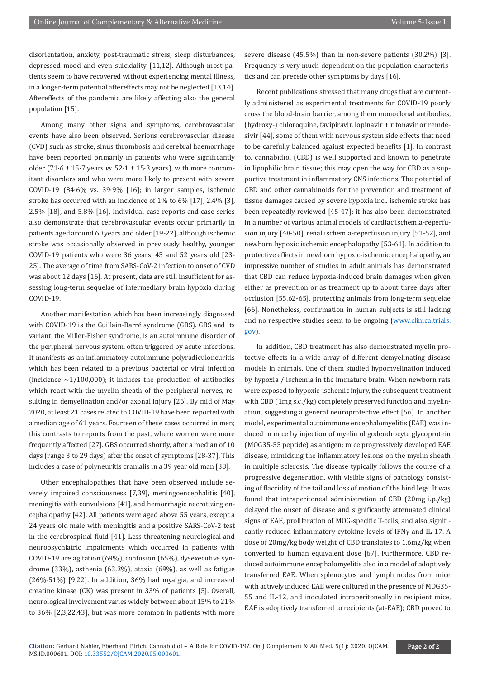disorientation, anxiety, post-traumatic stress, sleep disturbances, depressed mood and even suicidality [11,12]. Although most patients seem to have recovered without experiencing mental illness, in a longer-term potential aftereffects may not be neglected [13,14]. Aftereffects of the pandemic are likely affecting also the general population [15].

Among many other signs and symptoms, cerebrovascular events have also been observed. Serious cerebrovascular disease (CVD) such as stroke, sinus thrombosis and cerebral haemorrhage have been reported primarily in patients who were significantly older (71·6 ± 15·7 years *vs.* 52·1 ± 15·3 years), with more concomitant disorders and who were more likely to present with severe COVID-19 (84·6% vs. 39·9% [16]; in larger samples, ischemic stroke has occurred with an incidence of 1% to 6% [17], 2.4% [3], 2.5% [18], and 5.8% [16]. Individual case reports and case series also demonstrate that cerebrovascular events occur primarily in patients aged around 60 years and older [19-22], although ischemic stroke was occasionally observed in previously healthy, younger COVID-19 patients who were 36 years, 45 and 52 years old [23- 25]. The average of time from SARS-CoV-2 infection to onset of CVD was about 12 days [16]. At present, data are still insufficient for assessing long-term sequelae of intermediary brain hypoxia during COVID-19.

Another manifestation which has been increasingly diagnosed with COVID-19 is the Guillain-Barré syndrome (GBS). GBS and its variant, the Miller-Fisher syndrome, is an autoimmune disorder of the peripheral nervous system, often triggered by acute infections. It manifests as an inflammatory autoimmune polyradiculoneuritis which has been related to a previous bacterial or viral infection (incidence  $\sim$ 1/100,000); it induces the production of antibodies which react with the myelin sheath of the peripheral nerves, resulting in demyelination and/or axonal injury [26]. By mid of May 2020, at least 21 cases related to COVID-19 have been reported with a median age of 61 years. Fourteen of these cases occurred in men; this contrasts to reports from the past, where women were more frequently affected [27]. GBS occurred shortly, after a median of 10 days (range 3 to 29 days) after the onset of symptoms [28-37]. This includes a case of polyneuritis cranialis in a 39 year old man [38].

Other encephalopathies that have been observed include severely impaired consciousness [7,39], meningoencephalitis [40], meningitis with convulsions [41], and hemorrhagic necrotizing encephalopathy [42]. All patients were aged above 55 years, except a 24 years old male with meningitis and a positive SARS-CoV-2 test in the cerebrospinal fluid [41]. Less threatening neurological and neuropsychiatric impairments which occurred in patients with COVID-19 are agitation (69%), confusion (65%), dysexecutive syndrome (33%), asthenia (63.3%), ataxia (69%), as well as fatigue (26%-51%) [9,22]. In addition, 36% had myalgia, and increased creatine kinase (CK) was present in 33% of patients [5]. Overall, neurological involvement varies widely between about 15% to 21% to 36% [2,3,22,43], but was more common in patients with more

severe disease (45.5%) than in non-severe patients (30.2%) [3]. Frequency is very much dependent on the population characteristics and can precede other symptoms by days [16].

Recent publications stressed that many drugs that are currently administered as experimental treatments for COVID-19 poorly cross the blood-brain barrier, among them monoclonal antibodies, (hydroxy-) chloroquine, favipiravir, lopinavir + ritonavir or remdesivir [44], some of them with nervous system side effects that need to be carefully balanced against expected benefits [1]. In contrast to, cannabidiol (CBD) is well supported and known to penetrate in lipophilic brain tissue; this may open the way for CBD as a supportive treatment in inflammatory CNS infections. The potential of CBD and other cannabinoids for the prevention and treatment of tissue damages caused by severe hypoxia incl. ischemic stroke has been repeatedly reviewed [45-47]; it has also been demonstrated in a number of various animal models of cardiac ischemia-reperfusion injury [48-50], renal ischemia-reperfusion injury [51-52], and newborn hypoxic ischemic encephalopathy [53-61]. In addition to protective effects in newborn hypoxic-ischemic encephalopathy, an impressive number of studies in adult animals has demonstrated that CBD can reduce hypoxia-induced brain damages when given either as prevention or as treatment up to about three days after occlusion [55,62-65], protecting animals from long-term sequelae [66]. Nonetheless, confirmation in human subjects is still lacking and no respective studies seem to be ongoing [\(www.clinicaltrials.](http://www.clinicaltrials.gov) [gov](http://www.clinicaltrials.gov)).

In addition, CBD treatment has also demonstrated myelin protective effects in a wide array of different demyelinating disease models in animals. One of them studied hypomyelination induced by hypoxia / ischemia in the immature brain. When newborn rats were exposed to hypoxic-ischemic injury, the subsequent treatment with CBD (1mg s.c./kg) completely preserved function and myelination, suggesting a general neuroprotective effect [56]. In another model, experimental autoimmune encephalomyelitis (EAE) was induced in mice by injection of myelin oligodendrocyte glycoprotein (MOG35-55 peptide) as antigen; mice progressively developed EAE disease, mimicking the inflammatory lesions on the myelin sheath in multiple sclerosis. The disease typically follows the course of a progressive degeneration, with visible signs of pathology consisting of flaccidity of the tail and loss of motion of the hind legs. It was found that intraperitoneal administration of CBD (20mg i.p./kg) delayed the onset of disease and significantly attenuated clinical signs of EAE, proliferation of MOG-specific T-cells, and also significantly reduced inflammatory cytokine levels of IFNγ and IL-17. A dose of 20mg/kg body weight of CBD translates to 1.6mg/kg when converted to human equivalent dose [67]. Furthermore, CBD reduced autoimmune encephalomyelitis also in a model of adoptively transferred EAE. When splenocytes and lymph nodes from mice with actively induced EAE were cultured in the presence of MOG35- 55 and IL-12, and inoculated intraperitoneally in recipient mice, EAE is adoptively transferred to recipients (at-EAE); CBD proved to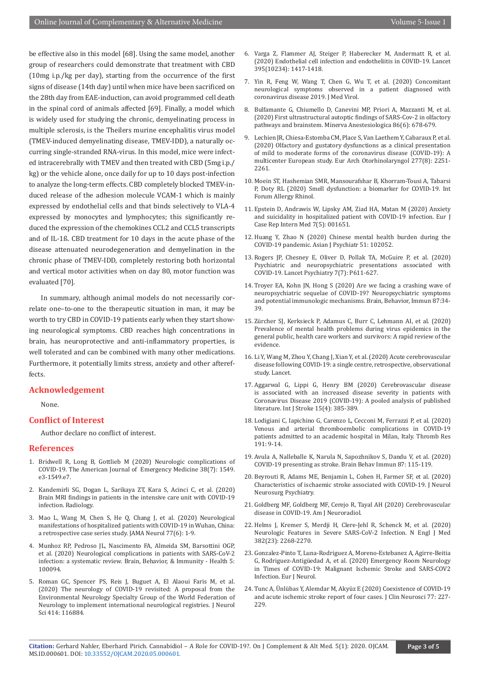be effective also in this model [68]. Using the same model, another group of researchers could demonstrate that treatment with CBD (10mg i.p./kg per day), starting from the occurrence of the first signs of disease (14th day) until when mice have been sacrificed on the 28th day from EAE-induction, can avoid programmed cell death in the spinal cord of animals affected [69]. Finally, a model which is widely used for studying the chronic, demyelinating process in multiple sclerosis, is the Theilers murine encephalitis virus model (TMEV-induced demyelinating disease, TMEV-IDD), a naturally occurring single-stranded RNA-virus. In this model, mice were infected intracerebrally with TMEV and then treated with CBD (5mg i.p./ kg) or the vehicle alone, once daily for up to 10 days post-infection to analyze the long-term effects. CBD completely blocked TMEV-induced release of the adhesion molecule VCAM-1 which is mainly expressed by endothelial cells and that binds selectively to VLA-4 expressed by monocytes and lymphocytes; this significantly reduced the expression of the chemokines CCL2 and CCL5 transcripts and of IL-1ß. CBD treatment for 10 days in the acute phase of the disease attenuated neurodegeneration and demyelination in the chronic phase of TMEV-IDD, completely restoring both horizontal and vertical motor activities when on day 80, motor function was evaluated [70].

In summary, although animal models do not necessarily correlate one–to-one to the therapeutic situation in man, it may be worth to try CBD in COVID-19 patients early when they start showing neurological symptoms. CBD reaches high concentrations in brain, has neuroprotective and anti-inflammatory properties, is well tolerated and can be combined with many other medications. Furthermore, it potentially limits stress, anxiety and other aftereffects.

### **Acknowledgement**

None.

# **Conflict of Interest**

Author declare no conflict of interest.

### **References**

- 1. [Bridwell R, Long B, Gottlieb M \(2020\) Neurologic complications of](https://www.sciencedirect.com/science/article/pii/S0735675720303648)  [COVID-19. The American Journal of Emergency Medicine 38\(7\): 1549.](https://www.sciencedirect.com/science/article/pii/S0735675720303648) [e3-1549.e7.](https://www.sciencedirect.com/science/article/pii/S0735675720303648)
- 2. Kandemirli SG, Dogan L, Sarikaya ZT, Kara S, Acinci C, et al. (2020) Brain MRI findings in patients in the intensive care unit with COVID-19 infection. Radiology.
- 3. [Mao L, Wang M, Chen S, He Q, Chang J, et al. \(2020\) Neurological](https://pubmed.ncbi.nlm.nih.gov/32275288/)  [manifestations of hospitalized patients with COVID-19 in Wuhan, China:](https://pubmed.ncbi.nlm.nih.gov/32275288/)  [a retrospective case series study. JAMA Neurol 77\(6\): 1-9.](https://pubmed.ncbi.nlm.nih.gov/32275288/)
- 4. [Munhoz RP, Pedroso JL, Nascimento FA, Almeida SM, Barsottini OGP,](https://www.sciencedirect.com/science/article/pii/S2666354620300594)  [et al. \(2020\) Neurological complications in patients with SARS-CoV-2](https://www.sciencedirect.com/science/article/pii/S2666354620300594)  [infection: a systematic review. Brain, Behavior, & Immunity - Health 5:](https://www.sciencedirect.com/science/article/pii/S2666354620300594)  [100094.](https://www.sciencedirect.com/science/article/pii/S2666354620300594)
- 5. [Roman GC, Spencer PS, Reis J, Buguet A, El Alaoui Faris M, et al.](https://pubmed.ncbi.nlm.nih.gov/32464367/)  [\(2020\) The neurology of COVID-19 revisited: A proposal from the](https://pubmed.ncbi.nlm.nih.gov/32464367/)  [Environmental Neurology Specialty Group of the World Federation of](https://pubmed.ncbi.nlm.nih.gov/32464367/)  [Neurology to implement international neurological registries. J Neurol](https://pubmed.ncbi.nlm.nih.gov/32464367/)  [Sci 414: 116884.](https://pubmed.ncbi.nlm.nih.gov/32464367/)
- 6. [Varga Z, Flammer AJ, Steiger P, Haberecker M, Andermatt R, et al.](https://pubmed.ncbi.nlm.nih.gov/32325026/) [\(2020\) Endothelial cell infection and endotheliitis in COVID-19. Lancet](https://pubmed.ncbi.nlm.nih.gov/32325026/) [395\(10234\): 1417-1418.](https://pubmed.ncbi.nlm.nih.gov/32325026/)
- 7. [Yin R, Feng W, Wang T, Chen G, Wu T, et al. \(2020\) Concomitant](https://pubmed.ncbi.nlm.nih.gov/32293714/) [neurological symptoms observed in a patient diagnosed with](https://pubmed.ncbi.nlm.nih.gov/32293714/) [coronavirus disease 2019. J Med Virol.](https://pubmed.ncbi.nlm.nih.gov/32293714/)
- 8. [Bulfamante G, Chiumello D, Canevini MP, Priori A, Mazzanti M, et al.](https://pubmed.ncbi.nlm.nih.gov/32401000/) [\(2020\) First ultrastructural autoptic findings of SARS-Cov-2 in olfactory](https://pubmed.ncbi.nlm.nih.gov/32401000/) [pathways and brainstem. Minerva Anestesiologica 86\(6\): 678-679.](https://pubmed.ncbi.nlm.nih.gov/32401000/)
- 9. Lechien JR, Chiesa-Estomba CM, Place S, Van Laethem Y, Cabaraux P, et al. [\(2020\) Olfactory and gustatory dysfunctions as a clinical presentation](https://pubmed.ncbi.nlm.nih.gov/32253535/) [of mild to moderate forms of the coronavirus disease \(COVID-19\): A](https://pubmed.ncbi.nlm.nih.gov/32253535/) [multicenter European study. Eur Arch Otorhinolaryngol 277\(8\): 2251-](https://pubmed.ncbi.nlm.nih.gov/32253535/) [2261.](https://pubmed.ncbi.nlm.nih.gov/32253535/)
- 10. [Moein ST, Hashemian SMR, Mansourafshar B, Khorram-Tousi A, Tabarsi](https://pubmed.ncbi.nlm.nih.gov/32301284/) [P, Doty RL \(2020\) Smell dysfunction: a biomarker for COVID-19. Int](https://pubmed.ncbi.nlm.nih.gov/32301284/) [Forum Allergy Rhinol.](https://pubmed.ncbi.nlm.nih.gov/32301284/)
- 11. [Epstein D, Andrawis W, Lipsky AM, Ziad HA, Matan M \(2020\) Anxiety](https://pubmed.ncbi.nlm.nih.gov/32399450/) [and suicidality in hospitalized patient with COVID-19 infection. Eur J](https://pubmed.ncbi.nlm.nih.gov/32399450/) [Case Rep Intern Med 7\(5\): 001651.](https://pubmed.ncbi.nlm.nih.gov/32399450/)
- 12. [Huang Y, Zhao N \(2020\) Chinese mental health burden during the](https://pubmed.ncbi.nlm.nih.gov/32361387/) [COVID-19 pandemic. Asian J Psychiatr 51: 102052.](https://pubmed.ncbi.nlm.nih.gov/32361387/)
- 13. [Rogers JP, Chesney E, Oliver D, Pollak TA, McGuire P, et al. \(2020\)](https://www.thelancet.com/journals/lanpsy/article/PIIS2215-0366(20)30203-0/fulltext) [Psychiatric and neuropsychiatric presentations associated with](https://www.thelancet.com/journals/lanpsy/article/PIIS2215-0366(20)30203-0/fulltext) [COVID-19. Lancet Psychiatry 7\(7\): P611-627.](https://www.thelancet.com/journals/lanpsy/article/PIIS2215-0366(20)30203-0/fulltext)
- 14. [Troyer EA, Kohn JN, Hong S \(2020\) Are we facing a crashing wave of](https://pubmed.ncbi.nlm.nih.gov/32298803/) [neuropsychiatric sequelae of COVID-19? Neuropsychiatric symptoms](https://pubmed.ncbi.nlm.nih.gov/32298803/) [and potential immunologic mechanisms. Brain, Behavior, Immun 87:34-](https://pubmed.ncbi.nlm.nih.gov/32298803/) [39.](https://pubmed.ncbi.nlm.nih.gov/32298803/)
- 15. Zürcher SJ, Kerksieck P, Adamus C, Burr C, Lehmann AI, et al. (2020) Prevalence of mental health problems during virus epidemics in the general public, health care workers and survivors: A rapid review of the evidence.
- 16. Li Y, Wang M, Zhou Y, Chang J, Xian Y, et al. (2020) Acute cerebrovascular disease following COVID-19: a single centre, retrospective, observational study. Lancet.
- 17. [Aggarwal G, Lippi G, Henry BM \(2020\) Cerebrovascular disease](https://pubmed.ncbi.nlm.nih.gov/32310015/) [is associated with an increased disease severity in patients with](https://pubmed.ncbi.nlm.nih.gov/32310015/) [Coronavirus Disease 2019 \(COVID-19\): A pooled analysis of published](https://pubmed.ncbi.nlm.nih.gov/32310015/) [literature. Int J Stroke 15\(4\): 385-389.](https://pubmed.ncbi.nlm.nih.gov/32310015/)
- 18. [Lodigiani C, Iapichino G, Carenzo L, Cecconi M, Ferrazzi P, et al. \(2020\)](https://pubmed.ncbi.nlm.nih.gov/32353746/) [Venous and arterial thromboembolic complications in COVID-19](https://pubmed.ncbi.nlm.nih.gov/32353746/) [patients admitted to an academic hospital in Milan, Italy. Thromb Res](https://pubmed.ncbi.nlm.nih.gov/32353746/) [191: 9-14.](https://pubmed.ncbi.nlm.nih.gov/32353746/)
- 19. [Avula A, Nalleballe K, Narula N, Sapozhnikov S, Dandu V, et al. \(2020\)](https://pubmed.ncbi.nlm.nih.gov/32360439/) [COVID-19 presenting as stroke. Brain Behav Immun 87: 115-119.](https://pubmed.ncbi.nlm.nih.gov/32360439/)
- 20. [Beyrouti R, Adams ME, Benjamin L, Cohen H, Farmer SF, et al. \(2020\)](https://pubmed.ncbi.nlm.nih.gov/32354768/) [Characteristics of ischaemic stroke associated with COVID-19. J Neurol](https://pubmed.ncbi.nlm.nih.gov/32354768/) [Neurosurg Psychiatry.](https://pubmed.ncbi.nlm.nih.gov/32354768/)
- 21. Goldberg MF, Goldberg MF, Cerejo R, Tayal AH (2020) Cerebrovascular disease in COVID-19. Am J Neuroradiol.
- 22. [Helms J, Kremer S, Merdji H, Clere-Jehl R, Schenck M, et al. \(2020\)](https://pubmed.ncbi.nlm.nih.gov/32294339/) [Neurologic Features in Severe SARS-CoV-2 Infection. N Engl J Med](https://pubmed.ncbi.nlm.nih.gov/32294339/) [382\(23\): 2268-2270.](https://pubmed.ncbi.nlm.nih.gov/32294339/)
- 23. [Gonzalez-Pinto T, Luna-Rodriguez A, Moreno-Estebanez A, Agirre-Beitia](https://pubmed.ncbi.nlm.nih.gov/32352618/) [G, Rodriguez-Antigüedad A, et al. \(2020\) Emergency Room Neurology](https://pubmed.ncbi.nlm.nih.gov/32352618/) [in Times of COVID-19: Malignant Ischemic Stroke and SARS-COV2](https://pubmed.ncbi.nlm.nih.gov/32352618/) [Infection. Eur J Neurol.](https://pubmed.ncbi.nlm.nih.gov/32352618/)
- 24. [Tunc A, Ünlübas Y, Alemdar M, Akyüz E \(2020\) Coexistence of COVID-19](https://pubmed.ncbi.nlm.nih.gov/32409210/) [and acute ischemic stroke report of four cases. J Clin Neurosci 77: 227-](https://pubmed.ncbi.nlm.nih.gov/32409210/) [229.](https://pubmed.ncbi.nlm.nih.gov/32409210/)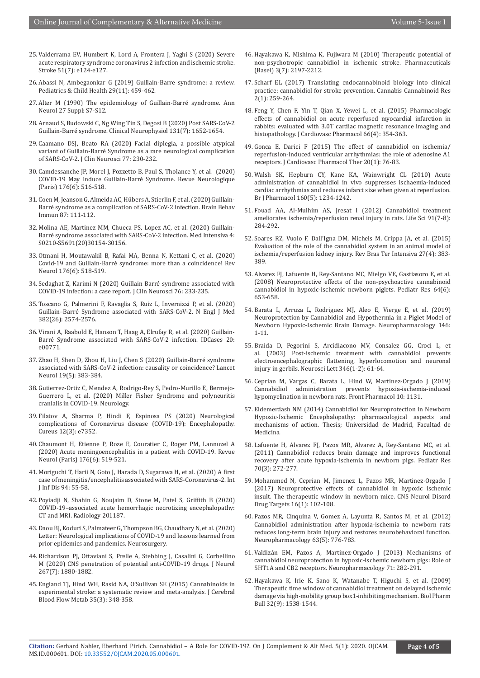- 25. [Valderrama EV, Humbert K, Lord A, Frontera J, Yaghi S \(2020\) Severe](https://pubmed.ncbi.nlm.nih.gov/32396456/)  [acute respiratory syndrome coronavirus 2 infection and ischemic stroke.](https://pubmed.ncbi.nlm.nih.gov/32396456/)  [Stroke 51\(7\): e124-e127.](https://pubmed.ncbi.nlm.nih.gov/32396456/)
- 26. [Abassi N, Ambegaonkar G \(2019\) Guillain-Barre syndrome: a review.](https://www.sciencedirect.com/science/article/abs/pii/S1751722219301696)  [Pediatrics & Child Health 29\(11\): 459-462.](https://www.sciencedirect.com/science/article/abs/pii/S1751722219301696)
- 27. Alter M (1990) The epidemiology of Guillain-Barré syndrome. Ann Neurol 27 Suppl: S7-S12.
- 28. [Arnaud S, Budowski C, Ng Wing Tin S, Degosi B \(2020\) Post SARS-CoV-2](https://pubmed.ncbi.nlm.nih.gov/32422529/)  [Guillain-Barré syndrome. Clinical Neurophysiol 131\(7\): 1652-1654.](https://pubmed.ncbi.nlm.nih.gov/32422529/)
- 29. [Caamano DSJ, Beato RA \(2020\) Facial diplegia, a possible atypical](https://pubmed.ncbi.nlm.nih.gov/32410788/)  [variant of Guillain-Barré Syndrome as a rare neurological complication](https://pubmed.ncbi.nlm.nih.gov/32410788/)  [of SARS-CoV-2. J Clin Neurosci 77: 230-232.](https://pubmed.ncbi.nlm.nih.gov/32410788/)
- 30. [Camdessanche JP, Morel J, Pozzetto B, Paul S, Tholance Y, et al. \(2020\)](https://pubmed.ncbi.nlm.nih.gov/32334841/)  [COVID-19 May Induce Guillain-Barré Syndrome. Revue Neurologique](https://pubmed.ncbi.nlm.nih.gov/32334841/)  [\(Paris\) 176\(6\): 516-518.](https://pubmed.ncbi.nlm.nih.gov/32334841/)
- 31. [Coen M, Jeanson G, Almeida AC, Hübers A, Stierlin F, et al. \(2020\) Guillain-](https://pubmed.ncbi.nlm.nih.gov/32360440/)[Barré syndrome as a complication of SARS-CoV-2 infection. Brain Behav](https://pubmed.ncbi.nlm.nih.gov/32360440/)  [Immun 87: 111-112.](https://pubmed.ncbi.nlm.nih.gov/32360440/)
- 32. [Molina AE, Martinez MM, Chueca PS, Lopez AC, et al. \(2020\) Guillain-](https://pubmed.ncbi.nlm.nih.gov/32532531/)[Barré syndrome associated with SARS-CoV-2 infection. Med Intensiva 4:](https://pubmed.ncbi.nlm.nih.gov/32532531/)  [S0210-S5691\(20\)30154-30156.](https://pubmed.ncbi.nlm.nih.gov/32532531/)
- 33. [Otmani H, Moutawakil B, Rafai MA, Benna N, Kettani C, et al. \(2020\)](https://pubmed.ncbi.nlm.nih.gov/32359804/)  [Covid-19 and Guillain-Barré syndrome: more than a coincidence! Rev](https://pubmed.ncbi.nlm.nih.gov/32359804/)  [Neurol 176\(6\): 518-519.](https://pubmed.ncbi.nlm.nih.gov/32359804/)
- 34. [Sedaghat Z, Karimi N \(2020\) Guillain Barré syndrome associated with](https://pubmed.ncbi.nlm.nih.gov/32312628/)  [COVID-19 infection: a case report. J Clin Neurosci 76: 233-235.](https://pubmed.ncbi.nlm.nih.gov/32312628/)
- 35. [Toscano G, Palmerini F, Ravaglia S, Ruiz L, Invernizzi P, et al. \(2020\)](https://pubmed.ncbi.nlm.nih.gov/32302082/)  [Guillain–Barré Syndrome associated with SARS-CoV-2. N Engl J Med](https://pubmed.ncbi.nlm.nih.gov/32302082/)  [382\(26\): 2574-2576.](https://pubmed.ncbi.nlm.nih.gov/32302082/)
- 36. [Virani A, Raabold E, Hanson T, Haag A, Elrufay R, et al. \(2020\) Guillain-](https://pubmed.ncbi.nlm.nih.gov/32313807/)[Barré Syndrome associated with SARS-CoV-2 infection. IDCases 20:](https://pubmed.ncbi.nlm.nih.gov/32313807/)  [e00771.](https://pubmed.ncbi.nlm.nih.gov/32313807/)
- 37. [Zhao H, Shen D, Zhou H, Liu J, Chen S \(2020\) Guillain-Barré syndrome](https://pubmed.ncbi.nlm.nih.gov/32246917/)  [associated with SARS-CoV-2 infection: causality or coincidence? Lancet](https://pubmed.ncbi.nlm.nih.gov/32246917/)  [Neurol 19\(5\): 383-384.](https://pubmed.ncbi.nlm.nih.gov/32246917/)
- 38. Gutierrez-Ortiz C, Mendez A, Rodrigo-Rey S, Pedro-Murillo E, Bermejo-Guerrero L, et al. (2020) Miller Fisher Syndrome and polyneuritis cranialis in COVID-19. Neurology.
- 39. [Filatov A, Sharma P, Hindi F, Espinosa PS \(2020\) Neurological](https://pubmed.ncbi.nlm.nih.gov/32328364/)  [complications of Coronavirus disease \(COVID-19\): Encephalopathy.](https://pubmed.ncbi.nlm.nih.gov/32328364/)  [Cureus 12\(3\): e7352.](https://pubmed.ncbi.nlm.nih.gov/32328364/)
- 40. [Chaumont H, Etienne P, Roze E, Couratier C, Roger PM, Lannuzel A](https://pubmed.ncbi.nlm.nih.gov/32414534/)  [\(2020\) Acute meningoencephalitis in a patient with COVID-19. Revue](https://pubmed.ncbi.nlm.nih.gov/32414534/)  [Neurol \(Paris\) 176\(6\): 519-521.](https://pubmed.ncbi.nlm.nih.gov/32414534/)
- 41. [Moriguchi T, Harii N, Goto J, Harada D, Sugarawa H, et al. \(2020\) A first](https://pubmed.ncbi.nlm.nih.gov/32251791/)  [case of meningitis/encephalitis associated with SARS-Coronavirus-2. Int](https://pubmed.ncbi.nlm.nih.gov/32251791/)  [J Inf Dis 94: 55-58.](https://pubmed.ncbi.nlm.nih.gov/32251791/)
- 42. [Poyiadji N, Shahin G, Noujaim D, Stone M, Patel S, Griffith B \(2020\)](https://pubmed.ncbi.nlm.nih.gov/32228363/)  [COVID-19–associated acute hemorrhagic necrotizing encephalopathy:](https://pubmed.ncbi.nlm.nih.gov/32228363/)  [CT and MRI. Radiology 201187.](https://pubmed.ncbi.nlm.nih.gov/32228363/)
- 43. [Daou BJ, Koduri S, Palmateer G, Thompson BG, Chaudhary N, et al. \(2020\)](https://pubmed.ncbi.nlm.nih.gov/32361745/)  [Letter: Neurological implications of COVID-19 and lessons learned from](https://pubmed.ncbi.nlm.nih.gov/32361745/)  [prior epidemics and pandemics. Neurosurgery.](https://pubmed.ncbi.nlm.nih.gov/32361745/)
- 44. [Richardson PJ, Ottaviani S, Prelle A, Stebbing J, Casalini G, Corbellino](https://pubmed.ncbi.nlm.nih.gov/32361836/)  [M \(2020\) CNS penetration of potential anti-COVID-19 drugs. J Neurol](https://pubmed.ncbi.nlm.nih.gov/32361836/)  [267\(7\): 1880-1882.](https://pubmed.ncbi.nlm.nih.gov/32361836/)
- 45. [England TJ, Hind WH, Rasid NA, O'Sullivan SE \(2015\) Cannabinoids in](https://pubmed.ncbi.nlm.nih.gov/25492113/)  [experimental stroke: a systematic review and meta-analysis. J Cerebral](https://pubmed.ncbi.nlm.nih.gov/25492113/)  [Blood Flow Metab 35\(3\): 348-358.](https://pubmed.ncbi.nlm.nih.gov/25492113/)
- 46. [Hayakawa K, Mishima K, Fujiwara M \(2010\) Therapeutic potential of](https://pubmed.ncbi.nlm.nih.gov/27713349/) [non-psychotropic cannabidiol in ischemic stroke. Pharmaceuticals](https://pubmed.ncbi.nlm.nih.gov/27713349/) [\(Basel\) 3\(7\): 2197-2212.](https://pubmed.ncbi.nlm.nih.gov/27713349/)
- 47. [Scharf EL \(2017\) Translating endocannabinoid biology into clinical](https://pubmed.ncbi.nlm.nih.gov/29098188/) [practice: cannabidiol for stroke prevention. Cannabis Cannabinoid Res](https://pubmed.ncbi.nlm.nih.gov/29098188/) [2\(1\): 259-264.](https://pubmed.ncbi.nlm.nih.gov/29098188/)
- 48. [Feng Y, Chen F, Yin T, Qian X, Yewei L, et al. \(2015\) Pharmacologic](https://pubmed.ncbi.nlm.nih.gov/26065843/) [effects of cannabidiol on acute reperfused myocardial infarction in](https://pubmed.ncbi.nlm.nih.gov/26065843/) [rabbits: evaluated with 3.0T cardiac magnetic resonance imaging and](https://pubmed.ncbi.nlm.nih.gov/26065843/) [histopathology. J Cardiovasc Pharmacol 66\(4\): 354-363.](https://pubmed.ncbi.nlm.nih.gov/26065843/)
- 49. [Gonca E, Darici F \(2015\) The effect of cannabidiol on ischemia/](https://pubmed.ncbi.nlm.nih.gov/24853683/) [reperfusion-induced ventricular arrhythmias: the role of adenosine A1](https://pubmed.ncbi.nlm.nih.gov/24853683/) [receptors. J Cardiovasc Pharmacol Ther 20\(1\): 76-83.](https://pubmed.ncbi.nlm.nih.gov/24853683/)
- 50. [Walsh SK, Hepburn CY, Kane KA, Wainwright CL \(2010\) Acute](https://pubmed.ncbi.nlm.nih.gov/20590615/) [administration of cannabidiol in vivo suppresses ischaemia-induced](https://pubmed.ncbi.nlm.nih.gov/20590615/) [cardiac arrhythmias and reduces infarct size when given at reperfusion.](https://pubmed.ncbi.nlm.nih.gov/20590615/) [Br J Pharmacol 160\(5\): 1234-1242.](https://pubmed.ncbi.nlm.nih.gov/20590615/)
- 51. [Fouad AA, Al-Mulhim AS, Jresat I \(2012\) Cannabidiol treatment](https://pubmed.ncbi.nlm.nih.gov/22877651/) [ameliorates ischemia/reperfusion renal injury in rats. Life Sci 91\(7-8\):](https://pubmed.ncbi.nlm.nih.gov/22877651/) [284-292.](https://pubmed.ncbi.nlm.nih.gov/22877651/)
- 52. [Soares RZ, Vuolo F, Dall'Igna DM, Michels M, Crippa JA, et al. \(2015\)](https://pubmed.ncbi.nlm.nih.gov/26761477/) [Evaluation of the role of the cannabidiol system in an animal model of](https://pubmed.ncbi.nlm.nih.gov/26761477/) [ischemia/reperfusion kidney injury. Rev Bras Ter Intensiva 27\(4\): 383-](https://pubmed.ncbi.nlm.nih.gov/26761477/) [389.](https://pubmed.ncbi.nlm.nih.gov/26761477/)
- 53. [Alvarez FJ, Lafuente H, Rey-Santano MC, Mielgo VE, Gastiasoro E, et al.](https://pubmed.ncbi.nlm.nih.gov/18679164/) [\(2008\) Neuroprotective effects of the non-psychoactive cannabinoid](https://pubmed.ncbi.nlm.nih.gov/18679164/) [cannabidiol in hypoxic-ischemic newborn piglets. Pediatr Res 64\(6\):](https://pubmed.ncbi.nlm.nih.gov/18679164/) [653-658.](https://pubmed.ncbi.nlm.nih.gov/18679164/)
- 54. [Barata L, Arruza L, Rodriguez MJ, Aleo E, Vierge E, et al. \(2019\)](https://pubmed.ncbi.nlm.nih.gov/30468796/) [Neuroprotection by Cannabidiol and Hypothermia in a Piglet Model of](https://pubmed.ncbi.nlm.nih.gov/30468796/) [Newborn Hypoxic-Ischemic Brain Damage. Neuropharmacology 146:](https://pubmed.ncbi.nlm.nih.gov/30468796/) [1-11.](https://pubmed.ncbi.nlm.nih.gov/30468796/)
- 55. [Braida D, Pegorini S, Arcidiacono MV, Consalez GG, Croci L, et](https://pubmed.ncbi.nlm.nih.gov/12850548/) [al. \(2003\) Post-ischemic treatment with cannabidiol prevents](https://pubmed.ncbi.nlm.nih.gov/12850548/) [electroencephalographic flattening, hyperlocomotion and neuronal](https://pubmed.ncbi.nlm.nih.gov/12850548/) [injury in gerbils. Neurosci Lett 346\(1-2\): 61-64.](https://pubmed.ncbi.nlm.nih.gov/12850548/)
- 56. [Ceprian M, Vargas C, Barata L, Hind W, Martinez-Orgado J \(2019\)](https://pubmed.ncbi.nlm.nih.gov/31611802/) [Cannabidiol administration prevents hypoxia-ischemia-induced](https://pubmed.ncbi.nlm.nih.gov/31611802/) [hypomyelination in newborn rats. Front Pharmacol 10: 1131.](https://pubmed.ncbi.nlm.nih.gov/31611802/)
- 57. Eldemerdash NM (2014) Cannabidiol for Neuroprotection in Newborn Hypoxic-Ischemic Encephalopathy: pharmacological aspects and mechanisms of action. Thesis; Universidad de Madrid, Facultad de Medicina.
- 58. [Lafuente H, Alvarez FJ, Pazos MR, Alvarez A, Rey-Santano MC, et al.](https://pubmed.ncbi.nlm.nih.gov/21654550/) [\(2011\) Cannabidiol reduces brain damage and improves functional](https://pubmed.ncbi.nlm.nih.gov/21654550/) [recovery after acute hypoxia-ischemia in newborn pigs. Pediatr Res](https://pubmed.ncbi.nlm.nih.gov/21654550/) [70\(3\): 272-277.](https://pubmed.ncbi.nlm.nih.gov/21654550/)
- 59. [Mohammed N, Ceprian M, Jimenez L, Pazos MR, Martinez-Orgado J](https://pubmed.ncbi.nlm.nih.gov/27686886/) [\(2017\) Neuroprotective effects of cannabidiol in hypoxic ischemic](https://pubmed.ncbi.nlm.nih.gov/27686886/) [insult. The therapeutic window in newborn mice. CNS Neurol Disord](https://pubmed.ncbi.nlm.nih.gov/27686886/) [Drug Targets 16\(1\): 102-108.](https://pubmed.ncbi.nlm.nih.gov/27686886/)
- 60. [Pazos MR, Cinquina V, Gomez A, Layunta R, Santos M, et al. \(2012\)](https://pubmed.ncbi.nlm.nih.gov/22659086/) [Cannabidiol administration after hypoxia-ischemia to newborn rats](https://pubmed.ncbi.nlm.nih.gov/22659086/) [reduces long-term brain injury and restores neurobehavioral function.](https://pubmed.ncbi.nlm.nih.gov/22659086/) [Neuropharmacology 63\(5\): 776-783.](https://pubmed.ncbi.nlm.nih.gov/22659086/)
- 61. [Valdizán EM, Pazos A, Martinez-Orgado J \(2013\) Mechanisms of](https://pubmed.ncbi.nlm.nih.gov/23587650/) [cannabidiol neuroprotection in hypoxic-ischemic newborn pigs: Role of](https://pubmed.ncbi.nlm.nih.gov/23587650/) [5HT1A and CB2 receptors. Neuropharmacology 71: 282-291.](https://pubmed.ncbi.nlm.nih.gov/23587650/)
- 62. [Hayakawa K, Irie K, Sano K, Watanabe T, Higuchi S, et al. \(2009\)](https://pubmed.ncbi.nlm.nih.gov/19721229/) [Therapeutic time window of cannabidiol treatment on delayed ischemic](https://pubmed.ncbi.nlm.nih.gov/19721229/) [damage via high-mobility group box1-inhibiting mechanism. Biol Pharm](https://pubmed.ncbi.nlm.nih.gov/19721229/) [Bull 32\(9\): 1538-1544.](https://pubmed.ncbi.nlm.nih.gov/19721229/)